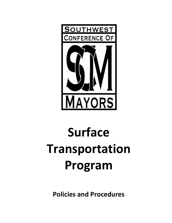

# **Surface Transportation Program**

**Policies and Procedures**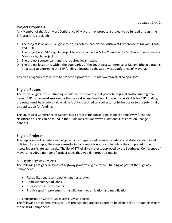# **Project Proposals**

Any Member of the Southwest Conference of Mayors may propose a project to be funded through the STP program, provided:

- A. The project is on an STP eligible route, as determined by the Southwest Conference of Mayors, CMAP and IDOT.
- B. The project is an STP eligible project type as specified in MAP-21 and on the Southwest Conference of Mayors eligible project list.
- C. The project sponsor can fund the required local match.
- D. The project location is within the boundaries of the Southwest Conference of Mayors (the geographic area used to determine the STP funding allocated to the Southwest Conference of Mayors).

Any transit agency that wishes to propose a project must find two municipal co-sponsors.

## **Eligible Routes**

The routes eligible for STP funding should be those routes that promote regional and/or sub regional travel. STP routes must serve more than a local access function. In order to be eligible for STP funding, the route must be a federal-aid eligible facility, classified as a collector or higher, prior to the submittal of an application for funding.

The Southwest Conference of Mayors has a process for considering changes to roadway functional classification. This can be found in the Guidelines for Roadways Functional Classification Change handout.

# **Eligible Projects**

The improvement of federal-aid eligible routes requires adherence to federal and state standards and policies. For example, the simple resurfacing of a route is not possible unless the completed project meets federal/state standards. The list of STP eligible projects approved by the Southwest Conference of Mayors includes a number of project types that would improve air quality.

## A. Eligible Highway Projects

The following are general types of highway projects eligible for STP funding as part of the Highway Component:

- Rehabilitation, reconstruction and restoration
- Road widening/Add lanes
- Intersection improvements
- Traffic signal improvements (installation, modernization and modification)

## B. Transportation Control Measures (TCMs) Projects

The following are general types of TCM projects that are considered to be eligible for STP funding as part of the TCM Component: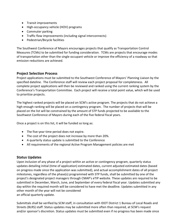- Transit improvements
- High-occupancy vehicle (HOV) programs
- Commuter parking
- Traffic flow improvements (including signal interconnects)
- Pedestrian/Bicycle facilities

The Southwest Conference of Mayors encourages projects that qualify as Transportation Control Measures (TCMs) to be submitted for funding consideration. TCMs are projects that encourage modes of transportation other than the single occupant vehicle or improve the efficiency of a roadway so that emission reductions are achieved.

# **Project Selection Process**

Project applications must be submitted to the Southwest Conference of Mayors' Planning Liaison by the specified dateline. The Conference staff will review each project proposal for completeness. All complete project applications will then be reviewed and ranked using the current ranking system by the Conference's Transportation Committee. Each project will receive a total point value, which will be used to prioritize projects.

The highest ranked projects will be placed on SCM's active program. The projects that do not achieve a high enough ranking will be placed on a contingency program. The number of projects that will be placed on the list will be constrained by the amount of STP funds projected to be available to the Southwest Conference of Mayors during each of the five federal fiscal years.

Once a project is on this list, it will be funded so long as:

- The five-year time period does not expire.
- The cost of the project does not increase by more than 20%.
- A quarterly status update is submitted to the Conference
- All requirements of the regional Active Program Management policies are met

# **Status Updates**

Upon inclusion of any phase of a project within an active or contingency program, quarterly status updates detailing initial (time of application) estimated dates, current adjusted estimated dates (based on progress made since the application was submitted), and actual accomplishment dates of all project milestones, regardless of the phase(s) programmed with STP funds, shall be submitted by one of the project's designated project managers through CMAP's eTIP website. These updates are required to be submitted in December, March, June, and September of every federal fiscal year. Updates submitted any day within the required month will be considered to have met the deadline. Updates submitted in any other month of the year will not be considered an official quarterly update.

Submittals shall be verified by SCM staff, in consultation with IDOT District 1 Bureau of Local Roads and Streets (BLRS) staff. Status updates may be submitted more often than required, at SCM's request and/or sponsor's discretion. Status updates must be submitted even if no progress has been made since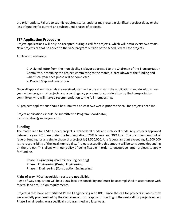the prior update. Failure to submit required status updates may result in significant project delay or the loss of funding for current and subsequent phases of projects.

## **STP Application Procedure**

Project applications will only be accepted during a call for projects, which will occur every two years. New projects cannot be added to the SCM program outside of the scheduled call for projects.

Application materials:

1. A signed letter from the municipality's Mayor addressed to the Chairman of the Transportation Committee, describing the project, committing to the match, a breakdown of the funding and what fiscal year each phase will be completed.

2. Project Map and description

Once all application materials are received, staff will score and rank the applications and develop a fiveyear active program of projects and a contingency program for consideration by the transportation committee, who will make a recommendation to the full membership.

All projects applications should be submitted at least two weeks prior to the call for projects deadline.

Project applications should be submitted to Program Coordinator, transportation@swmayors.com.

# **Funding**

The match ratio for a STP funded project is 80% federal funds and 20% local funds. Any projects approved before the year 2014 are under the funding ratio of 70% federal and 30% local. The maximum amount of federal funding for any single phase of a project is \$1,500,000. Any federal amount exceeding \$1,500,000 is the responsibility of the local municipality. Projects exceeding this amount will be considered depending on the project. This aligns with our policy of being flexible in order to encourage larger projects to apply for funding.

Phase I Engineering (Preliminary Engineering) Phase II Engineering (Design Engineering) Phase III Engineering (Construction Engineering)

**Right-of-way** (ROW) acquisition costs **are not** eligible**.** 

Right-of-way acquisition will be a 100% local responsibility and must be accomplished in accordance with federal land acquisition requirements.

Project(s) that have not initiated Phase I Engineering with IDOT since the call for projects in which they were initially programmed by the Conference must reapply for funding in the next call for projects unless Phase 1 engineering was specifically programmed in a later year.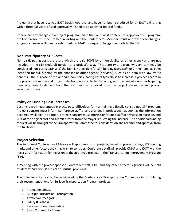Project(s) that have received IDOT Design Approval and have not been scheduled for an IDOT bid letting within three (3) years of said approval will need to re-apply for federal funds.

If there are any changes to a project programmed in the Southwest Conference's approved STP program, the Conference must be notified in writing and the Conference's Members must approve these changes. Program changes will then be submitted to CMAP for request changes be made to the TIP.

# **Non-Participatory STP Costs**

Non-participating costs are those which are paid 100% by a municipality or other agency and are not included in the STP (federal) portion of a project's cost. There are two reasons why an item may be considered non-participating: 1) the item is not eligible for STP funding (*required*), or 2) the item has been identified for full funding by the sponsor or other agency (*optional*), such as an item with low traffic benefits. The purpose of the *optional* non-participating costs typically is to increase a project's score in the project evaluation and project selection process. Note that along with the cost of a non-participating item, any benefits derived from that item will be removed from the project evaluation and project selection process.

# **Policy on Funding Cost Increases**

Cost increase in guaranteed projects pose difficulties for maintaining a fiscally constrained STP program. Project sponsors must inform Conference staff of any changes in project cost, as soon as the information becomes available. In addition, project sponsors must inform Conference staff of any cost increase beyond 20% of the original cost and submit a letter from the mayor requesting the increase. The additional funding request will be brought to the Transportation Committee for consideration and recommend approval from the full board.

# **Project Selection**

The Southwest Conference of Mayors will approve a list of projects, based on project ratings, STP funding marks and other factors they may wish to consider. Conference staff will provide CMAP and IDOT with the necessary information for inclusion of the approved projects in the Transportation Improvement Program (TIP).

A meeting with the project sponsor, Conference staff, IDOT and any other affected agencies will be held to identify and discuss critical or unusual problems.

The following criteria shall be considered by the Conference's Transportation Committee in formulating their recommendations for Surface Transportation Program projects:

- 1. Project Readiness
- 2. Multiple Jurisdiction Participation
- 3. Traffic Volumes (ADT)
- 4. Safety (Crashes)
- 5. Pavement Condition Rating
- 6. Small Community Bonus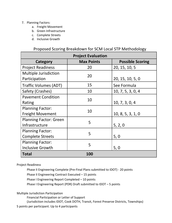## 7. Planning Factors:

- a. Freight Movement
- b. Green Infrastructure
- c. Complete Streets
- d. Inclusive Growth

# Proposed Scoring Breakdown for SCM Local STP Methodology

| <b>Project Evaluation</b>     |                   |                         |
|-------------------------------|-------------------|-------------------------|
| Category                      | <b>Max Points</b> | <b>Possible Scoring</b> |
| <b>Project Readiness</b>      | 20                | 20, 15, 10, 5           |
| <b>Multiple Jurisdiction</b>  | 20                |                         |
| Participation                 |                   | 20, 15, 10, 5, 0        |
| <b>Traffic Volumes (ADT)</b>  | 15                | See Formula             |
| Safety (Crashes)              | 10                | 10, 7, 5, 3, 0, 4       |
| <b>Pavement Condition</b>     | 10                |                         |
| Rating                        |                   | 10, 7, 3, 0, 4          |
| <b>Planning Factor:</b>       | 10                |                         |
| <b>Freight Movement</b>       |                   | 10, 8, 5, 3, 1, 0       |
| <b>Planning Factor: Green</b> | 5                 |                         |
| Infrastructure                |                   | 5, 2, 0                 |
| <b>Planning Factor:</b>       | 5                 |                         |
| <b>Complete Streets</b>       |                   | 5, 0                    |
| <b>Planning Factor:</b>       | 5                 |                         |
| <b>Inclusive Growth</b>       |                   | 5, 0                    |
| <b>Total</b>                  | 100               |                         |

Project Readiness

Phase II Engineering Complete (Pre-Final Plans submitted to IDOT) - 20 points

Phase II Engineering Contract Executed – 15 points

Phase I Engineering Report Completed – 10 points

Phase I Engineering Report (PDR) Draft submitted to IDOT – 5 points

Multiple Jurisdiction Participation

Financial Participation or Letter of Support

(Jurisdiction includes IDOT, Cook DOTH, Transit, Forest Preserve Districts, Townships)

5 points per participant. Up to 4 participants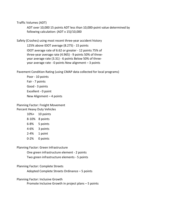Traffic Volumes (ADT)

ADT over 10,000 15 points ADT less than 10,000-point value determined by following calculation: (ADT x 15)/10,000

Safety (Crashes) using most recent three-year accident history

125% above IDOT average (8.275) - 15 points IDOT average rate of 6.62 or greater - 12 points 75% of three-year average rate (4.965) - 9 points 50% of threeyear average rate (3.31) - 6 points Below 50% of threeyear average rate - 0 points New alignment – 3 points

Pavement Condition Rating (using CMAP data collected for local programs)

Poor - 10 points Fair - 7 points Good - 3 points Excellent - 0 point New Alignment – 4 points

#### Planning Factor: Freight Movement Percent Heavy Duty Vehicles

- 10%+ 10 points
- 8-10% 8 points
- 6-8% 5 points
- 4-6% 3 points
- 2-4% 1 point
- 0-2% 0 points

Planning Factor: Green Infrastructure

One green infrastructure element - 2 points

Two green infrastructure elements - 5 points

#### Planning Factor: Complete Streets

Adopted Complete Streets Ordinance – 5 points

#### Planning Factor: Inclusive Growth

Promote Inclusive Growth in project plans – 5 points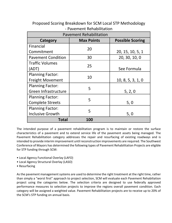| <b>Pavement Rehabilitation</b> |                   |                         |  |
|--------------------------------|-------------------|-------------------------|--|
| Category                       | <b>Max Points</b> | <b>Possible Scoring</b> |  |
| Financial                      | 20                |                         |  |
| Commitment                     |                   | 20, 15, 10, 5, 1        |  |
| <b>Pavement Condition</b>      | 30                | 20, 30, 10, 0           |  |
| <b>Traffic Volumes</b>         | 25                |                         |  |
| (ADT)                          |                   | See Formula             |  |
| <b>Planning Factor:</b>        | 10                |                         |  |
| <b>Freight Movement</b>        |                   | 10, 8, 5, 3, 1, 0       |  |
| <b>Planning Factor:</b>        | 5                 |                         |  |
| Green Infrastructure           |                   | 5, 2, 0                 |  |
| <b>Planning Factor:</b>        | 5                 |                         |  |
| <b>Complete Streets</b>        |                   | 5,0                     |  |
| <b>Planning Factor:</b>        | 5                 |                         |  |
| <b>Inclusive Growth</b>        |                   | 5,0                     |  |
| Total                          | 100               |                         |  |

Proposed Scoring Breakdown for SCM Local STP Methodology - Pavement Rehabilitation

The intended purpose of a pavement rehabilitation program is to maintain or restore the surface characteristics of a pavement and to extend service life of the pavement assets being managed. The Pavement Rehabilitation category addresses the repair and resurfacing of existing roadways and is intended to provide interim improvement until reconstruction improvements are required. The Southwest Conference of Mayors has determined the following types of Pavement Rehabilitation Projects are eligible for STP funding through SCM:

- Local Agency Functional Overlay (LAFO)
- Local Agency Structural Overlay (LASO)
- Resurfacing

As the pavement management systems are used to determine the right treatment at the right time, rather than simply a "worst first" approach to project selection, SCM will evaluate each Pavement Rehabiliation project using the categories below. The selection criteria are designed to use federally approved performance measures to selection projects to improve the regions overall pavement condition. Each category will be assigned a weighted value. Pavement Rehabilitation projects are to receive up to 20% of the SCM's STP funding on annual basis.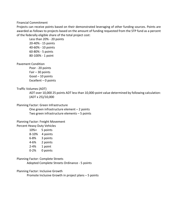#### Financial Commitment

Projects can receive points based on their demonstrated leveraging of other funding sources. Points are awarded as follows to projects based on the amount of funding requested from the STP fund as a percent of the federally eligible share of the total project cost:

Less than 20% - 20 points 20-40% - 15 points 40-60% - 10 points 60-80% - 5 points 80-100% - 1 point

#### Pavement Condition

Poor - 20 points Fair – 30 points Good – 10 points Excellent  $-0$  points

#### Traffic Volumes (ADT)

ADT over 10,000 25 points ADT less than 10,000-point value determined by following calculation: (ADT x 25)/10,000

#### Planning Factor: Green Infrastructure

One green infrastructure element – 2 points Two green infrastructure elements – 5 points

#### Planning Factor: Freight Movement

Percent Heavy Duty Vehicles

| 10%+     | 5 points |
|----------|----------|
| 8-10%    | 4 points |
| 6-8%     | 3 points |
| 4-6%     | 2 points |
| $2 - 4%$ | 1 point  |
| $0 - 2%$ | 0 points |

#### Planning Factor: Complete Streets

Adopted Complete Streets Ordinance - 5 points

#### Planning Factor: Inclusive Growth

Promote Inclusive Growth in project plans – 5 points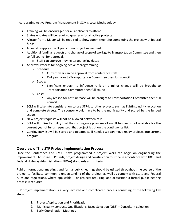Incorporating Active Program Management in SCM's Local Methodology

- Training will be encouraged for all applicants to attend
- Status updates will be required quarterly for all active projects
- A letter from a Mayor will be required to show commitment for completing the project with federal funds.
- All must reapply after 3 years of no project movement
- Additional funding requests and change of scope of work go to Transportation Committee and then to full council for approval.
	- o Staff can approve moving target letting dates
- Approval Process for ongoing active reprogramming
	- o Schedule:
		- Current year can be approval from conference staff
		- Out year goes to Transportation Committee then full council
	- o Scope:
		- Significant enough to influence rank or a minor change will be brought to Transportation Committee then full council
	- o Cost:
		- § Any reason for cost increase will be brought to Transportation Committee then full council
- SCM will take into consideration to use STP-L to other projects such as lighting, utility relocation and complete streets. The sponsor would have to be the municipality and scored by the funded scope.
- New project requests will not be allowed between calls
- SCM will utilize flexibility that the contingency program allows. If funding is not available for the current year of funds requested, that project is put on the contingency list.
- Contingency list will be scored and updated so if needed we can move ready projects into current program

# **Overview of The STP Project Implementation Process**

Once the Conference and CMAP have programmed a project, work can begin on engineering the improvement. To utilize STP funds, project design and construction must be in accordance with IDOT and Federal Highway Administration (FHWA) standards and criteria.

Public informational meetings and formal public hearings should be utilized throughout the course of the project to facilitate community understanding of the project, as well as comply with State and Federal rules and regulations, where applicable. For projects requiring land acquisition a formal public hearing process is required.

STP project implementation is a very involved and complicated process consisting of the following key steps:

- 1. Project Application and Prioritization
- 2. Municipality conducts Qualifications Based Selection (QBS) Consultant Selection
- 3. Early Coordination Meetings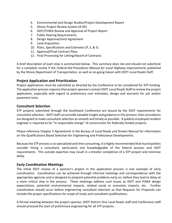- 4. Environmental and Design Studies/Project Development Report
- 5. Illinois Project Review System (A-95)
- 6. IDOT/FHWA Review and Approval of Project Report
- 7. Public Hearing Requirements
- 8. Design Approval/Joint Agreement
- 9. Land Acquisition
- 10. Plans, Specifications and Estimates (P, S, & E)
- 11. Approval/Final Contract Plans
- 12. Final Processing for Letting/Award of Contracts

A brief description of each step is summarized below. This summary does not and should not substitute for a complete review if the *Federal-Aid Procedures Manual for Local Highway Improvements* published by the Illinois Department of Transportation, as well as on-going liaison with IDOT-Local Roads Staff.

## **Project Application and Prioritization**

Project applications must be submitted as directed by the Conference to be considered for STP funding. The application process requires that project sponsors contact IDOT-Local Roads Staff to review the project application, especially with regard to preliminary cost estimates, design and warrants for soil and/or pavement tests.

## **Consultant Selection**

STP projects submitted through the Southwest Conference are bound by the IDOT requirements for consultant selection. IDOT staff can provide valuable insight and guidance in this process; their procedures are designed to make consultant selection as smooth and timely as possible. A publicly employed resident engineer is required to be "in responsible charge" of construction for federally funded projects.

Please reference Chapter 5 *Agreements* in the Bureau of Local Roads and Streets Manual for information on the Qualifications Based Selection for Engineering and Professional Developments.

Because the STP process is so specialized and time consuming, it is highly recommended that municipalities consider hiring a consultant, particularly one knowledgeable of the federal process and IDOT requirements. This outside expertise may result in a timelier completion of a STP project and minimize delay.

## **Early Coordination Meetings**

The initial IDOT review of a sponsor's project in the application process is one example of early coordination. Coordination can be achieved through informal meetings and correspondence with the appropriate agencies and is designed to pinpoint potential problems early on, before they lead to delay at a more critical step in the process. These meetings address such issues as IDOT and FHWA design expectations, potential environmental impacts, related social or economic impacts, etc. Further coordination should occur before engineering consultant selection so that Requests for Proposals can include the proper specifications for scope of study and consultant qualifications.

A formal meeting between the project sponsor, IDOT-District One Local Roads staff and Conference staff should proceed the start of preliminary engineering for all STP projects.